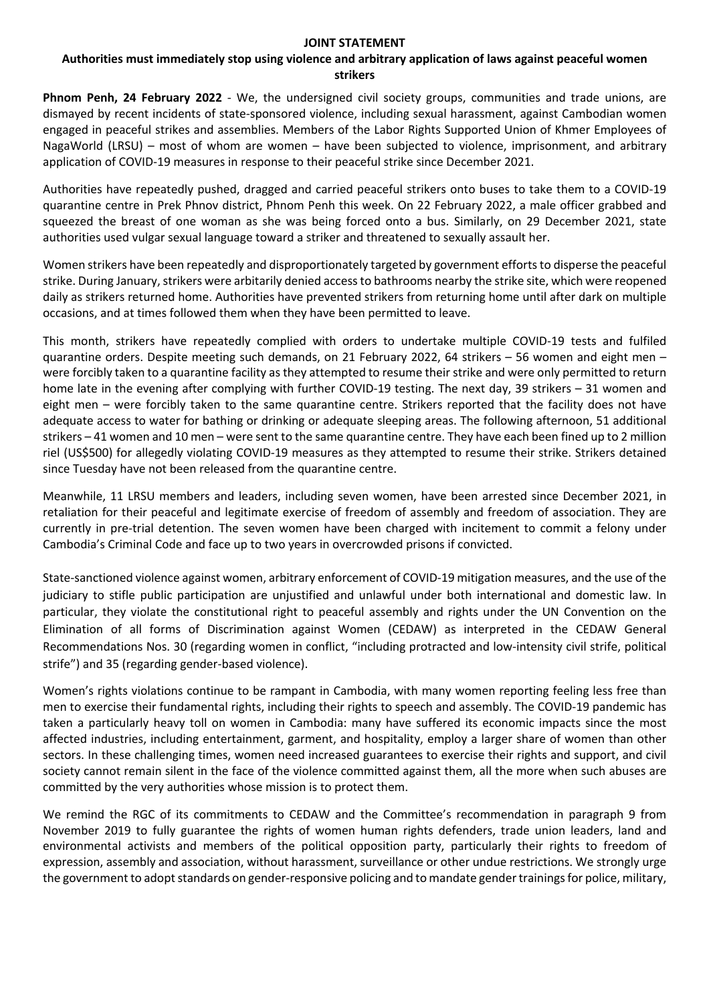## **JOINT STATEMENT**

## **Authorities must immediately stop using violence and arbitrary application of laws against peaceful women strikers**

**Phnom Penh, 24 February 2022** - We, the undersigned civil society groups, communities and trade unions, are dismayed by recent incidents of state-sponsored violence, including sexual harassment, against Cambodian women engaged in peaceful strikes and assemblies. Members of the Labor Rights Supported Union of Khmer Employees of NagaWorld (LRSU) – most of whom are women – have been subjected to violence, imprisonment, and arbitrary application of COVID-19 measures in response to their peaceful strike since December 2021.

Authorities have repeatedly pushed, dragged and carried peaceful strikers onto buses to take them to a COVID-19 quarantine centre in Prek Phnov district, Phnom Penh this week. On 22 February 2022, a male officer grabbed and squeezed the breast of one woman as she was being forced onto a bus. Similarly, on 29 December 2021, state authorities used vulgar sexual language toward a striker and threatened to sexually assault her.

Women strikers have been repeatedly and disproportionately targeted by government efforts to disperse the peaceful strike. During January, strikers were arbitarily denied access to bathrooms nearby the strike site, which were reopened daily as strikers returned home. Authorities have prevented strikers from returning home until after dark on multiple occasions, and at times followed them when they have been permitted to leave.

This month, strikers have repeatedly complied with orders to undertake multiple COVID-19 tests and fulfiled quarantine orders. Despite meeting such demands, on 21 February 2022, 64 strikers – 56 women and eight men – were forcibly taken to a quarantine facility as they attempted to resume their strike and were only permitted to return home late in the evening after complying with further COVID-19 testing. The next day, 39 strikers – 31 women and eight men – were forcibly taken to the same quarantine centre. Strikers reported that the facility does not have adequate access to water for bathing or drinking or adequate sleeping areas. The following afternoon, 51 additional strikers – 41 women and 10 men – were sent to the same quarantine centre. They have each been fined up to 2 million riel (US\$500) for allegedly violating COVID-19 measures as they attempted to resume their strike. Strikers detained since Tuesday have not been released from the quarantine centre.

Meanwhile, 11 LRSU members and leaders, including seven women, have been arrested since December 2021, in retaliation for their peaceful and legitimate exercise of freedom of assembly and freedom of association. They are currently in pre-trial detention. The seven women have been charged with incitement to commit a felony under Cambodia's Criminal Code and face up to two years in overcrowded prisons if convicted.

State-sanctioned violence against women, arbitrary enforcement of COVID-19 mitigation measures, and the use of the judiciary to stifle public participation are unjustified and unlawful under both international and domestic law. In particular, they violate the constitutional right to peaceful assembly and rights under the UN Convention on the Elimination of all forms of Discrimination against Women (CEDAW) as interpreted in the CEDAW General Recommendations Nos. 30 (regarding women in conflict, "including protracted and low-intensity civil strife, political strife") and 35 (regarding gender-based violence).

Women's rights violations continue to be rampant in Cambodia, with many women reporting feeling less free than men to exercise their fundamental rights, including their rights to speech and assembly. The COVID-19 pandemic has taken a particularly heavy toll on women in Cambodia: many have suffered its economic impacts since the most affected industries, including entertainment, garment, and hospitality, employ a larger share of women than other sectors. In these challenging times, women need increased guarantees to exercise their rights and support, and civil society cannot remain silent in the face of the violence committed against them, all the more when such abuses are committed by the very authorities whose mission is to protect them.

We remind the RGC of its commitments to CEDAW and the Committee's recommendation in paragraph 9 from November 2019 to fully guarantee the rights of women human rights defenders, trade union leaders, land and environmental activists and members of the political opposition party, particularly their rights to freedom of expression, assembly and association, without harassment, surveillance or other undue restrictions. We strongly urge the government to adopt standards on gender-responsive policing and to mandate gender trainingsfor police, military,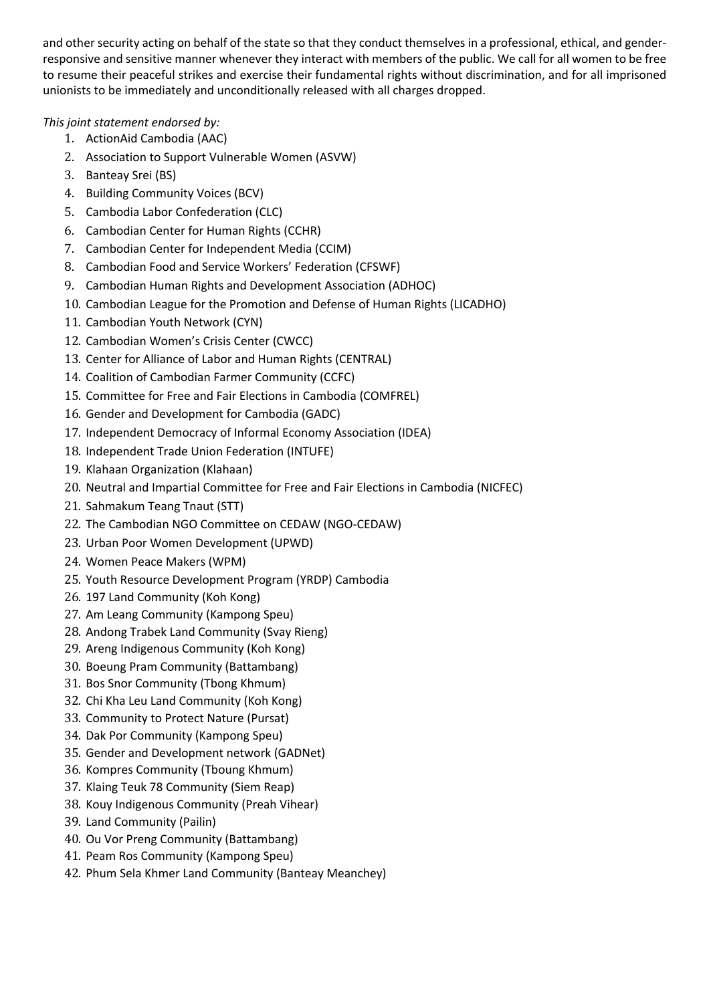and other security acting on behalf of the state so that they conduct themselves in a professional, ethical, and genderresponsive and sensitive manner whenever they interact with members of the public. We call for all women to be free to resume their peaceful strikes and exercise their fundamental rights without discrimination, and for all imprisoned unionists to be immediately and unconditionally released with all charges dropped.

## *This joint statement endorsed by:*

- 1. ActionAid Cambodia (AAC)
- 2. Association to Support Vulnerable Women (ASVW)
- 3. Banteay Srei (BS)
- 4. Building Community Voices (BCV)
- 5. Cambodia Labor Confederation (CLC)
- 6. Cambodian Center for Human Rights (CCHR)
- 7. Cambodian Center for Independent Media (CCIM)
- 8. Cambodian Food and Service Workers' Federation (CFSWF)
- 9. Cambodian Human Rights and Development Association (ADHOC)
- 10. Cambodian League for the Promotion and Defense of Human Rights (LICADHO)
- 11. Cambodian Youth Network (CYN)
- 12. Cambodian Women's Crisis Center (CWCC)
- 13. Center for Alliance of Labor and Human Rights (CENTRAL)
- 14. Coalition of Cambodian Farmer Community (CCFC)
- 15. Committee for Free and Fair Elections in Cambodia (COMFREL)
- 16. Gender and Development for Cambodia (GADC)
- 17. Independent Democracy of Informal Economy Association (IDEA)
- 18. Independent Trade Union Federation (INTUFE)
- 19. Klahaan Organization (Klahaan)
- 20. Neutral and Impartial Committee for Free and Fair Elections in Cambodia (NICFEC)
- 21. Sahmakum Teang Tnaut (STT)
- 22. The Cambodian NGO Committee on CEDAW (NGO-CEDAW)
- 23. Urban Poor Women Development (UPWD)
- 24. Women Peace Makers (WPM)
- 25. Youth Resource Development Program (YRDP) Cambodia
- 26. 197 Land Community (Koh Kong)
- 27. Am Leang Community (Kampong Speu)
- 28. Andong Trabek Land Community (Svay Rieng)
- 29. Areng Indigenous Community (Koh Kong)
- 30. Boeung Pram Community (Battambang)
- 31. Bos Snor Community (Tbong Khmum)
- 32. Chi Kha Leu Land Community (Koh Kong)
- 33. Community to Protect Nature (Pursat)
- 34. Dak Por Community (Kampong Speu)
- 35. Gender and Development network (GADNet)
- 36. Kompres Community (Tboung Khmum)
- 37. Klaing Teuk 78 Community (Siem Reap)
- 38. Kouy Indigenous Community (Preah Vihear)
- 39. Land Community (Pailin)
- 40. Ou Vor Preng Community (Battambang)
- 41. Peam Ros Community (Kampong Speu)
- 42. Phum Sela Khmer Land Community (Banteay Meanchey)